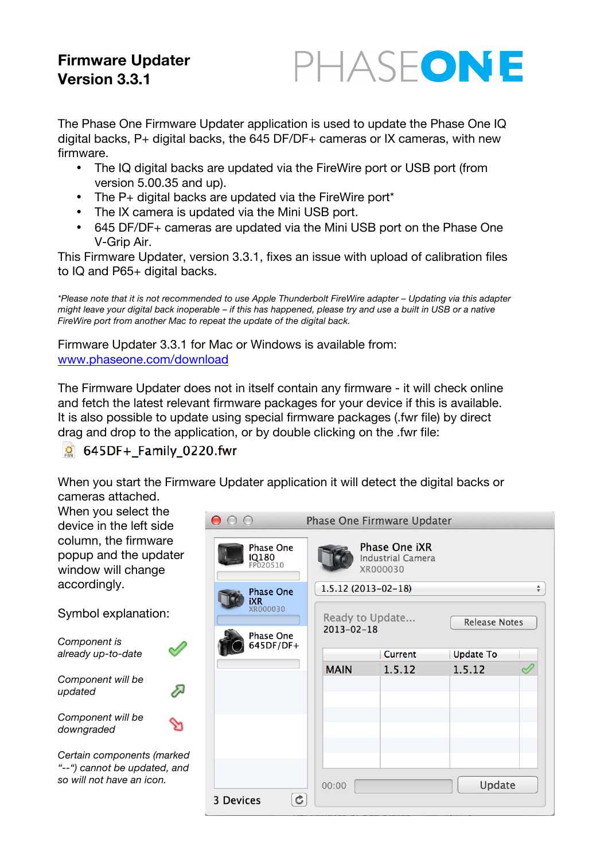# **Firmware Updater Version 3.3.1**

The Phase One Firmware Updater application is used to update the Phase One IQ digital backs,  $P+$  digital backs, the 645 DF/DF+ cameras or IX cameras, with new firmware.

PHASEONE

- The IQ digital backs are updated via the FireWire port or USB port (from version 5.00.35 and up).
- The P+ digital backs are updated via the FireWire port\*
- The IX camera is updated via the Mini USB port.
- 645 DF/DF+ cameras are updated via the Mini USB port on the Phase One V-Grip Air.

This Firmware Updater, version 3.3.1, fixes an issue with upload of calibration files to IQ and P65+ digital backs.

*\*Please note that it is not recommended to use Apple Thunderbolt FireWire adapter – Updating via this adapter might leave your digital back inoperable – if this has happened, please try and use a built in USB or a native FireWire port from another Mac to repeat the update of the digital back.*

Firmware Updater 3.3.1 for Mac or Windows is available from: www.phaseone.com/download

The Firmware Updater does not in itself contain any firmware - it will check online and fetch the latest relevant firmware packages for your device if this is available. It is also possible to update using special firmware packages (.fwr file) by direct drag and drop to the application, or by double clicking on the .fwr file:

 $\circ$  645DF+ Family 0220.fwr

When you start the Firmware Updater application it will detect the digital backs or cameras attached.

| When you select the<br>device in the left side<br>column, the firmware<br>popup and the updater<br>window will change<br>accordingly.<br>Symbol explanation: |  | $\cap$ $\cap$<br><b>Phase One</b><br>IQ180<br>FP020510                |   | <b>Phase One Firmware Updater</b><br><b>Phase One iXR</b><br><b>Industrial Camera</b><br>XR000030<br>$1.5.12(2013-02-18)$<br>$\div$ |         |                  |                      |  |  |
|--------------------------------------------------------------------------------------------------------------------------------------------------------------|--|-----------------------------------------------------------------------|---|-------------------------------------------------------------------------------------------------------------------------------------|---------|------------------|----------------------|--|--|
|                                                                                                                                                              |  | <b>Phase One</b><br><b>iXR</b><br><b>XR000030</b><br><b>Phase One</b> |   | Ready to Update<br>$2013 - 02 - 18$                                                                                                 |         |                  | <b>Release Notes</b> |  |  |
| Component is<br>already up-to-date                                                                                                                           |  | 645DF/DF+                                                             |   |                                                                                                                                     | Current | <b>Update To</b> |                      |  |  |
| Component will be<br>A<br>updated                                                                                                                            |  |                                                                       |   | <b>MAIN</b>                                                                                                                         | 1.5.12  | 1.5.12           |                      |  |  |
| Component will be<br>downgraded                                                                                                                              |  |                                                                       |   |                                                                                                                                     |         |                  |                      |  |  |
| Certain components (marked<br>"--") cannot be updated, and<br>so will not have an icon.                                                                      |  |                                                                       |   | 00:00                                                                                                                               |         | Update           |                      |  |  |
|                                                                                                                                                              |  | <b>3 Devices</b>                                                      | ¢ |                                                                                                                                     |         |                  |                      |  |  |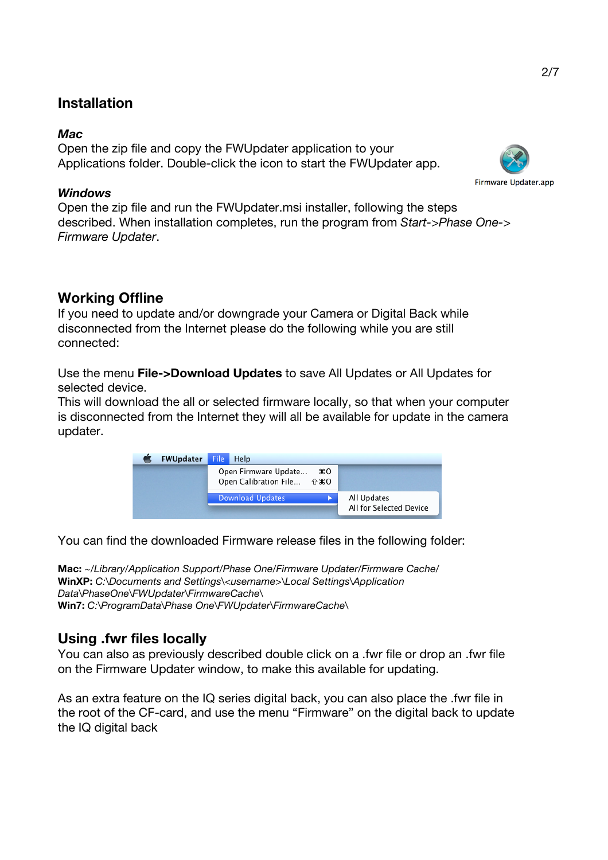## **Installation**

## *Mac*

Open the zip file and copy the FWUpdater application to your Applications folder. Double-click the icon to start the FWUpdater app.

## *Windows*

Open the zip file and run the FWUpdater.msi installer, following the steps described. When installation completes, run the program from *Start->Phase One-> Firmware Updater*.

# **Working Offline**

If you need to update and/or downgrade your Camera or Digital Back while disconnected from the Internet please do the following while you are still connected:

Use the menu **File->Download Updates** to save All Updates or All Updates for selected device.

This will download the all or selected firmware locally, so that when your computer is disconnected from the Internet they will all be available for update in the camera updater.

| <b>FWUpdater</b> | File<br><b>Help</b>                               |                                        |
|------------------|---------------------------------------------------|----------------------------------------|
|                  | Open Firmware Update<br>Open Calibration File 企第O | жO                                     |
|                  | <b>Download Updates</b>                           | All Updates<br>All for Selected Device |

You can find the downloaded Firmware release files in the following folder:

**Mac:** *~/Library/Application Support/Phase One/Firmware Updater/Firmware Cache/* **WinXP:** *C:\Documents and Settings\<username>\Local Settings\Application Data\PhaseOne\FWUpdater\FirmwareCache\* **Win7:** *C:\ProgramData\Phase One\FWUpdater\FirmwareCache\*

# **Using .fwr files locally**

You can also as previously described double click on a .fwr file or drop an .fwr file on the Firmware Updater window, to make this available for updating.

As an extra feature on the IQ series digital back, you can also place the .fwr file in the root of the CF-card, and use the menu "Firmware" on the digital back to update the IQ digital back

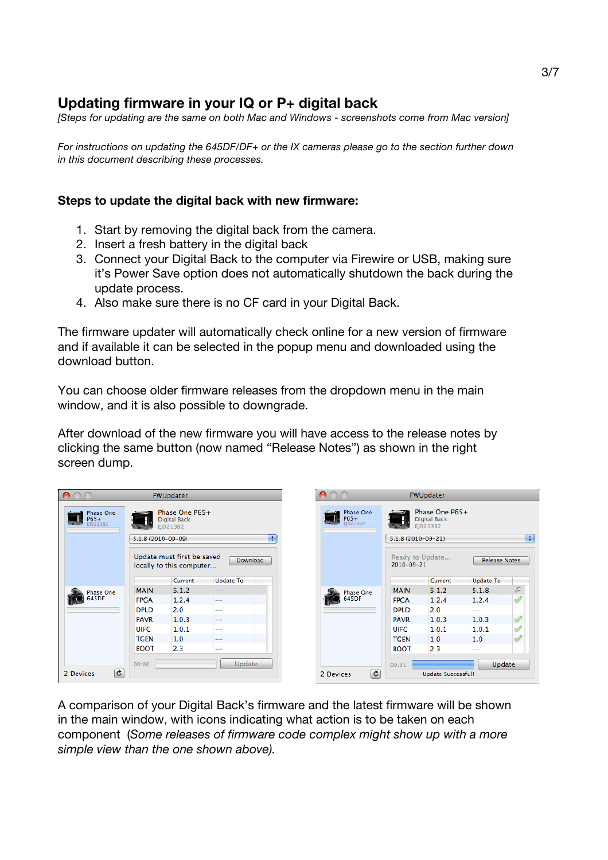## **Updating firmware in your IQ or P+ digital back**

*[Steps for updating are the same on both Mac and Windows - screenshots come from Mac version]*

*For instructions on updating the 645DF/DF+ or the IX cameras please go to the section further down in this document describing these processes.*

### **Steps to update the digital back with new firmware:**

- 1. Start by removing the digital back from the camera.
- 2. Insert a fresh battery in the digital back
- 3. Connect your Digital Back to the computer via Firewire or USB, making sure it's Power Save option does not automatically shutdown the back during the update process.
- 4. Also make sure there is no CF card in your Digital Back.

The firmware updater will automatically check online for a new version of firmware and if available it can be selected in the popup menu and downloaded using the download button.

You can choose older firmware releases from the dropdown menu in the main window, and it is also possible to downgrade.

After download of the new firmware you will have access to the release notes by clicking the same button (now named "Release Notes") as shown in the right screen dump.

|                               |                                                                               | <b>FWUpdater</b>                                                  |                       |                                      |                                                                               | <b>FWUpdater</b>           |                                          |               |
|-------------------------------|-------------------------------------------------------------------------------|-------------------------------------------------------------------|-----------------------|--------------------------------------|-------------------------------------------------------------------------------|----------------------------|------------------------------------------|---------------|
| Phase One<br>P65+<br>EJ021382 | Phase One P65+<br><b>Digital Back</b><br>EI021382<br>÷<br>$5.1.8(2010-09-09)$ |                                                                   |                       | <b>Phase One</b><br>P65+<br>EJ021382 | Phase One P65+<br><b>Digital Back</b><br>EJ021382<br>÷<br>$5.1.8(2010-09-21)$ |                            |                                          |               |
|                               |                                                                               | Update must first be saved<br>locally to this computer<br>Current | Download<br>Update To |                                      | 2010-09-21                                                                    | Ready to Update<br>Current | <b>Release Notes</b><br><b>Update To</b> |               |
|                               | <b>MAIN</b>                                                                   | 5.1.2                                                             |                       |                                      | <b>MAIN</b>                                                                   | 5.1.2                      | 5.1.8                                    | ℱ             |
| <b>Phase One</b><br>645DF     |                                                                               |                                                                   | $\frac{1}{2}$         | Phase One<br>645DF                   | <b>FPGA</b>                                                                   | 1.2.4                      |                                          | $\mathscr{Q}$ |
|                               | <b>FPGA</b>                                                                   | 1.2.4                                                             | $- -$                 |                                      |                                                                               |                            | 1.2.4                                    |               |
|                               | <b>DPLD</b>                                                                   | 2.0                                                               | $- -$                 |                                      | <b>DPLD</b>                                                                   | 2.0                        | $- -$                                    |               |
|                               | <b>PAVR</b>                                                                   | 1.0.3                                                             | $\qquad \qquad -$     |                                      | <b>PAVR</b>                                                                   | 1.0.3                      | 1.0.3                                    | $\mathscr{O}$ |
|                               | <b>UIFC</b>                                                                   | 1.0.1                                                             | $- -$                 |                                      | <b>UIFC</b>                                                                   | 1.0.1                      | 1.0.1                                    | ৶             |
|                               | <b>TGEN</b>                                                                   | 1.0                                                               | $- -$                 |                                      | <b>TGEN</b>                                                                   | 1.0                        | 1.0                                      | D             |
|                               | <b>BOOT</b>                                                                   | 2.3                                                               | $- -$                 |                                      | <b>BOOT</b>                                                                   | 2.3                        | $- -$                                    |               |
| $\overline{c}$<br>2 Devices   | 00:00                                                                         |                                                                   | Update                | $\mathbf{c}$<br>2 Devices            | 00:31                                                                         | Update Successful!         | Update                                   |               |
|                               |                                                                               |                                                                   |                       |                                      |                                                                               |                            |                                          |               |

A comparison of your Digital Back's firmware and the latest firmware will be shown in the main window, with icons indicating what action is to be taken on each component (*Some releases of firmware code complex might show up with a more simple view than the one shown above).*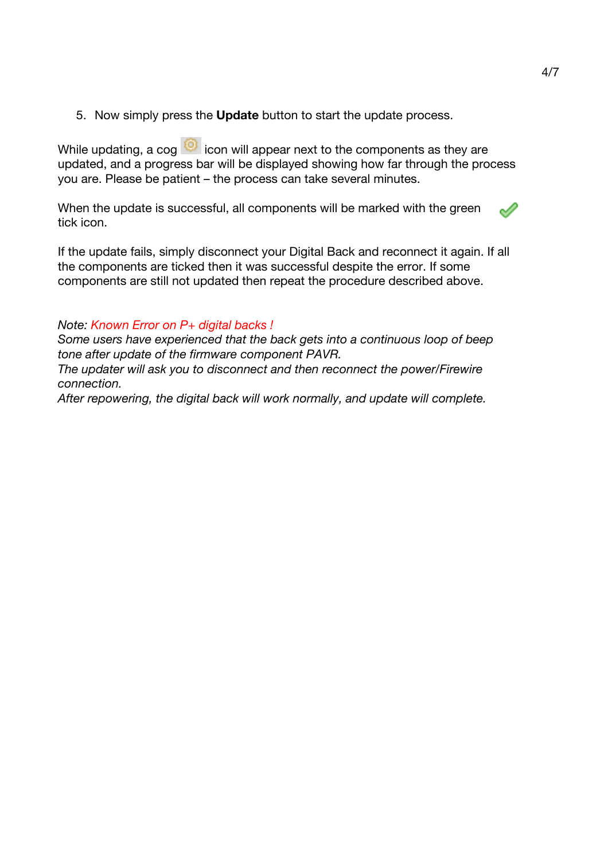5. Now simply press the **Update** button to start the update process.

While updating, a cog  $\heartsuit$  icon will appear next to the components as they are updated, and a progress bar will be displayed showing how far through the process you are. Please be patient – the process can take several minutes.

When the update is successful, all components will be marked with the green tick icon.

If the update fails, simply disconnect your Digital Back and reconnect it again. If all the components are ticked then it was successful despite the error. If some components are still not updated then repeat the procedure described above.

### *Note: Known Error on P+ digital backs !*

*Some users have experienced that the back gets into a continuous loop of beep tone after update of the firmware component PAVR.*

*The updater will ask you to disconnect and then reconnect the power/Firewire connection.*

*After repowering, the digital back will work normally, and update will complete.*

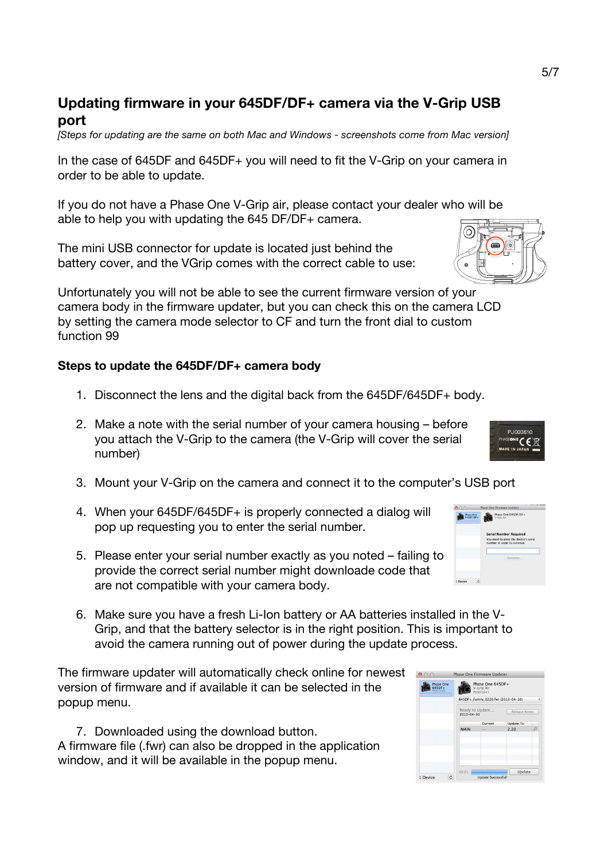## **Updating firmware in your 645DF/DF+ camera via the V-Grip USB port**

*[Steps for updating are the same on both Mac and Windows - screenshots come from Mac version]*

In the case of 645DF and 645DF+ you will need to fit the V-Grip on your camera in order to be able to update.

If you do not have a Phase One V-Grip air, please contact your dealer who will be able to help you with updating the 645 DF/DF+ camera.

The mini USB connector for update is located just behind the battery cover, and the VGrip comes with the correct cable to use:

Unfortunately you will not be able to see the current firmware version of your camera body in the firmware updater, but you can check this on the camera LCD by setting the camera mode selector to CF and turn the front dial to custom function 99

### **Steps to update the 645DF/DF+ camera body**

- 1. Disconnect the lens and the digital back from the 645DF/645DF+ body.
- 2. Make a note with the serial number of your camera housing before you attach the V-Grip to the camera (the V-Grip will cover the serial number)
- 3. Mount your V-Grip on the camera and connect it to the computer's USB port
- 4. When your 645DF/645DF+ is properly connected a dialog will pop up requesting you to enter the serial number.
- 5. Please enter your serial number exactly as you noted failing to provide the correct serial number might downloade code that are not compatible with your camera body.
- 6. Make sure you have a fresh Li-Ion battery or AA batteries installed in the V-Grip, and that the battery selector is in the right position. This is important to avoid the camera running out of power during the update process.

The firmware updater will automatically check online for newest version of firmware and if available it can be selected in the popup menu.

7. Downloaded using the download button. A firmware file (.fwr) can also be dropped in the application window, and it will be available in the popup menu.



Update



Phase One 645DF/DF

Thase One

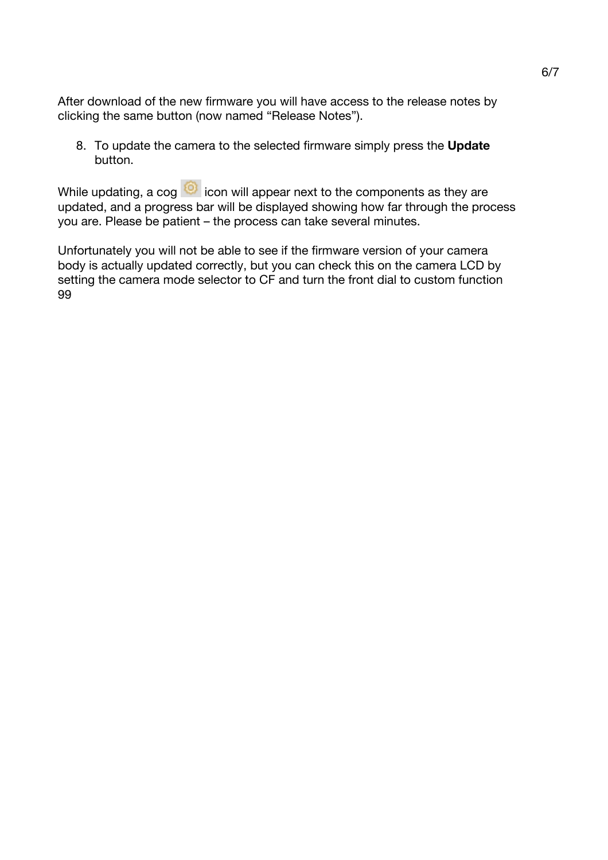After download of the new firmware you will have access to the release notes by clicking the same button (now named "Release Notes").

8. To update the camera to the selected firmware simply press the **Update** button.

While updating, a  $\cos$   $\odot$  icon will appear next to the components as they are updated, and a progress bar will be displayed showing how far through the process you are. Please be patient – the process can take several minutes.

Unfortunately you will not be able to see if the firmware version of your camera body is actually updated correctly, but you can check this on the camera LCD by setting the camera mode selector to CF and turn the front dial to custom function 99